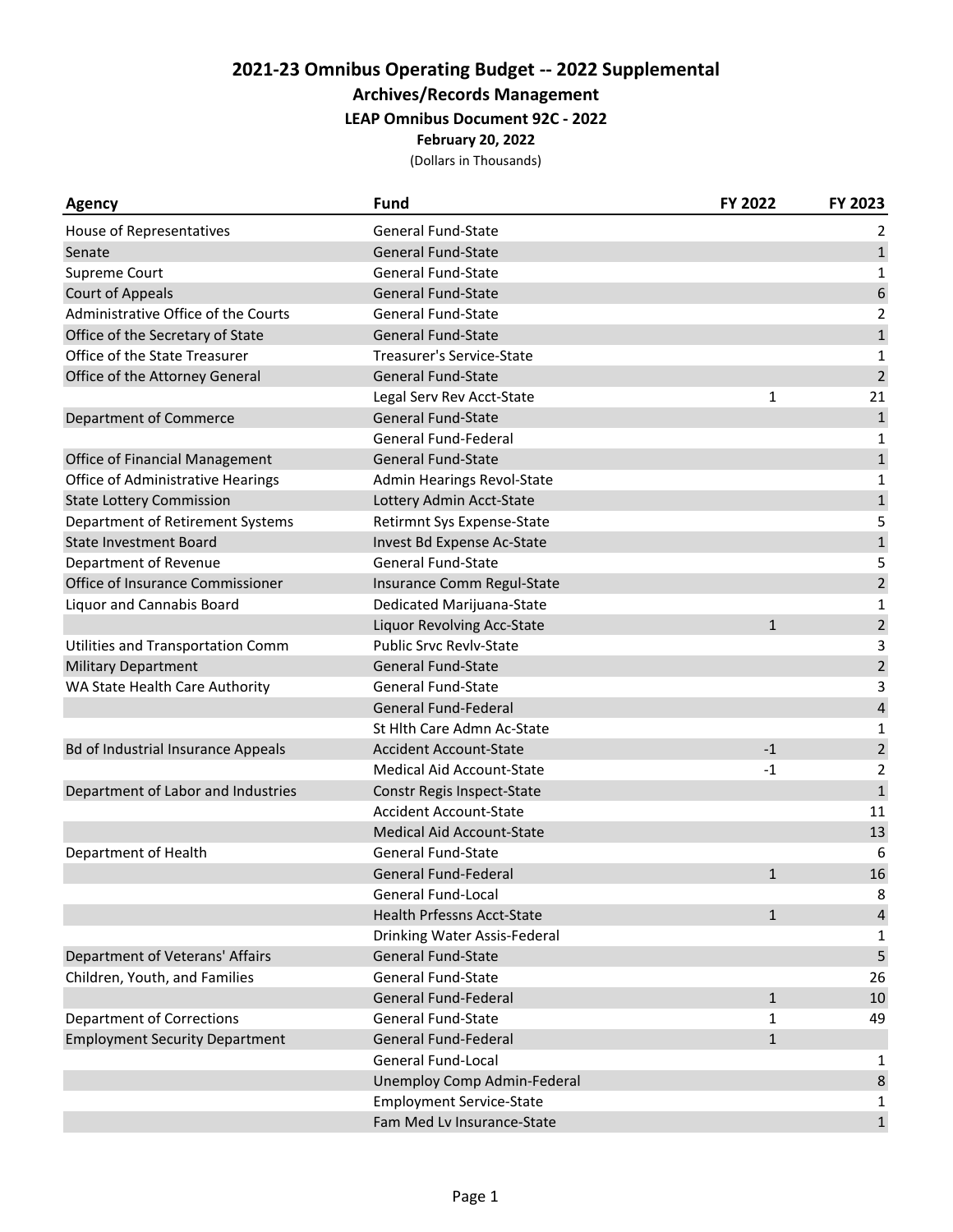# **2021‐23 Omnibus Operating Budget ‐‐ 2022 Supplemental**

### **Archives/Records Management**

#### **LEAP Omnibus Document 92C ‐ 2022**

#### **February 20, 2022**

(Dollars in Thousands)

| <b>Agency</b>                             | <b>Fund</b>                       | FY 2022      | FY 2023                 |
|-------------------------------------------|-----------------------------------|--------------|-------------------------|
| House of Representatives                  | <b>General Fund-State</b>         |              | 2                       |
| Senate                                    | <b>General Fund-State</b>         |              | $\mathbf{1}$            |
| Supreme Court                             | <b>General Fund-State</b>         |              | 1                       |
| <b>Court of Appeals</b>                   | <b>General Fund-State</b>         |              | 6                       |
| Administrative Office of the Courts       | <b>General Fund-State</b>         |              | $\overline{2}$          |
| Office of the Secretary of State          | <b>General Fund-State</b>         |              | $\mathbf 1$             |
| Office of the State Treasurer             | Treasurer's Service-State         |              | 1                       |
| Office of the Attorney General            | General Fund-State                |              | $\overline{2}$          |
|                                           | Legal Serv Rev Acct-State         | 1            | 21                      |
| <b>Department of Commerce</b>             | <b>General Fund-State</b>         |              | $\mathbf 1$             |
|                                           | General Fund-Federal              |              | 1                       |
| Office of Financial Management            | <b>General Fund-State</b>         |              | $\mathbf{1}$            |
| <b>Office of Administrative Hearings</b>  | Admin Hearings Revol-State        |              | $\mathbf 1$             |
| <b>State Lottery Commission</b>           | Lottery Admin Acct-State          |              | $\mathbf 1$             |
| Department of Retirement Systems          | Retirmnt Sys Expense-State        |              | 5                       |
| <b>State Investment Board</b>             | Invest Bd Expense Ac-State        |              | $\mathbf 1$             |
| Department of Revenue                     | <b>General Fund-State</b>         |              | 5                       |
| Office of Insurance Commissioner          | Insurance Comm Regul-State        |              | $\mathbf 2$             |
| <b>Liquor and Cannabis Board</b>          | Dedicated Marijuana-State         |              | 1                       |
|                                           | Liquor Revolving Acc-State        | $\mathbf{1}$ | $\overline{2}$          |
| Utilities and Transportation Comm         | <b>Public Srvc Revlv-State</b>    |              | 3                       |
| <b>Military Department</b>                | <b>General Fund-State</b>         |              | $\sqrt{2}$              |
| WA State Health Care Authority            | <b>General Fund-State</b>         |              | 3                       |
|                                           | <b>General Fund-Federal</b>       |              | $\overline{\mathbf{r}}$ |
|                                           | St Hith Care Admn Ac-State        |              | 1                       |
| <b>Bd of Industrial Insurance Appeals</b> | <b>Accident Account-State</b>     | $-1$         | $\mathbf 2$             |
|                                           | <b>Medical Aid Account-State</b>  | $-1$         | $\overline{2}$          |
| Department of Labor and Industries        | Constr Regis Inspect-State        |              | $\mathbf{1}$            |
|                                           | <b>Accident Account-State</b>     |              | 11                      |
|                                           | <b>Medical Aid Account-State</b>  |              | 13                      |
| Department of Health                      | <b>General Fund-State</b>         |              | 6                       |
|                                           | <b>General Fund-Federal</b>       | $\mathbf{1}$ | 16                      |
|                                           | General Fund-Local                |              | 8                       |
|                                           | <b>Health Prfessns Acct-State</b> | $\mathbf{1}$ | $\overline{4}$          |
|                                           | Drinking Water Assis-Federal      |              | 1                       |
| Department of Veterans' Affairs           | General Fund-State                |              | 5                       |
| Children, Youth, and Families             | <b>General Fund-State</b>         |              | 26                      |
|                                           | <b>General Fund-Federal</b>       | $\mathbf{1}$ | 10                      |
| <b>Department of Corrections</b>          | <b>General Fund-State</b>         | 1            | 49                      |
| <b>Employment Security Department</b>     | General Fund-Federal              | $\mathbf{1}$ |                         |
|                                           | General Fund-Local                |              | 1                       |
|                                           | Unemploy Comp Admin-Federal       |              | $\,8\,$                 |
|                                           | <b>Employment Service-State</b>   |              | 1                       |
|                                           | Fam Med Lv Insurance-State        |              | $\mathbf{1}$            |